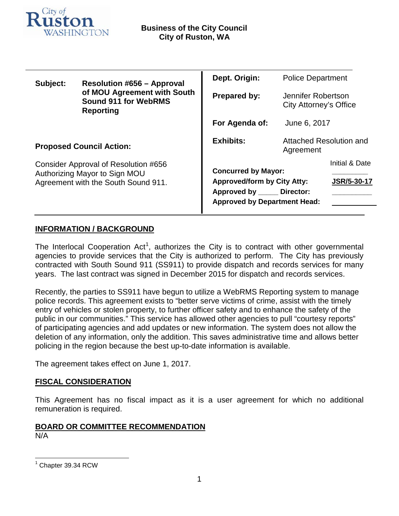

| Subject:                                                                                                     | <b>Resolution #656 - Approval</b><br>of MOU Agreement with South<br><b>Sound 911 for WebRMS</b><br><b>Reporting</b> | Dept. Origin:                                                                                                                    | <b>Police Department</b>                     |                                      |
|--------------------------------------------------------------------------------------------------------------|---------------------------------------------------------------------------------------------------------------------|----------------------------------------------------------------------------------------------------------------------------------|----------------------------------------------|--------------------------------------|
|                                                                                                              |                                                                                                                     | <b>Prepared by:</b>                                                                                                              | Jennifer Robertson<br>City Attorney's Office |                                      |
|                                                                                                              |                                                                                                                     | For Agenda of:                                                                                                                   | June 6, 2017                                 |                                      |
| <b>Proposed Council Action:</b>                                                                              |                                                                                                                     | <b>Exhibits:</b>                                                                                                                 | Attached Resolution and<br>Agreement         |                                      |
| Consider Approval of Resolution #656<br>Authorizing Mayor to Sign MOU<br>Agreement with the South Sound 911. |                                                                                                                     | <b>Concurred by Mayor:</b><br><b>Approved/form by City Atty:</b><br>Approved by Director:<br><b>Approved by Department Head:</b> |                                              | Initial & Date<br><b>JSR/5-30-17</b> |

### **INFORMATION / BACKGROUND**

The Interlocal Cooperation Act<sup>[1](#page-0-0)</sup>, authorizes the City is to contract with other governmental agencies to provide services that the City is authorized to perform. The City has previously contracted with South Sound 911 (SS911) to provide dispatch and records services for many years. The last contract was signed in December 2015 for dispatch and records services.

Recently, the parties to SS911 have begun to utilize a WebRMS Reporting system to manage police records. This agreement exists to "better serve victims of crime, assist with the timely entry of vehicles or stolen property, to further officer safety and to enhance the safety of the public in our communities." This service has allowed other agencies to pull "courtesy reports" of participating agencies and add updates or new information. The system does not allow the deletion of any information, only the addition. This saves administrative time and allows better policing in the region because the best up-to-date information is available.

The agreement takes effect on June 1, 2017.

#### **FISCAL CONSIDERATION**

This Agreement has no fiscal impact as it is a user agreement for which no additional remuneration is required.

## **BOARD OR COMMITTEE RECOMMENDATION**

N/A

<span id="page-0-0"></span>Chapter 39.34 RCW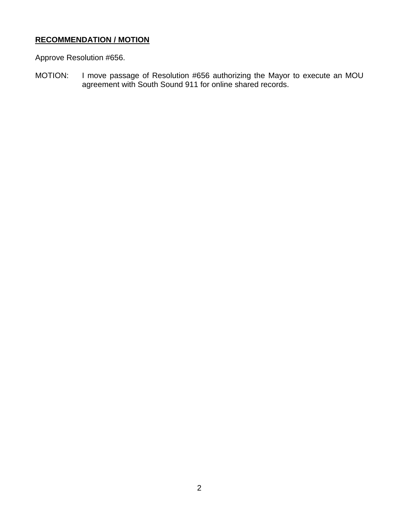#### **RECOMMENDATION / MOTION**

Approve Resolution #656.

MOTION: I move passage of Resolution #656 authorizing the Mayor to execute an MOU agreement with South Sound 911 for online shared records.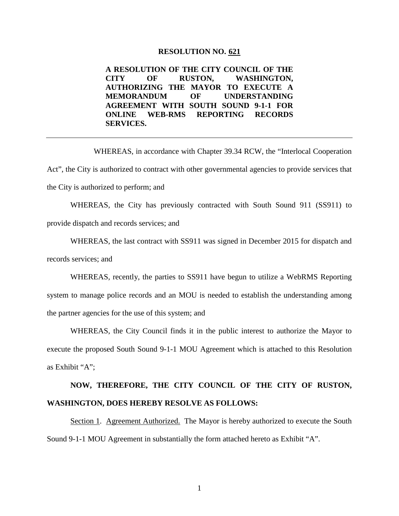#### **RESOLUTION NO. 621**

**A RESOLUTION OF THE CITY COUNCIL OF THE CITY OF RUSTON, WASHINGTON, AUTHORIZING THE MAYOR TO EXECUTE A MEMORANDUM OF UNDERSTANDING AGREEMENT WITH SOUTH SOUND 9-1-1 FOR ONLINE WEB-RMS REPORTING RECORDS SERVICES.**

WHEREAS, in accordance with Chapter 39.34 RCW, the "Interlocal Cooperation Act", the City is authorized to contract with other governmental agencies to provide services that the City is authorized to perform; and

WHEREAS, the City has previously contracted with South Sound 911 (SS911) to provide dispatch and records services; and

WHEREAS, the last contract with SS911 was signed in December 2015 for dispatch and records services; and

WHEREAS, recently, the parties to SS911 have begun to utilize a WebRMS Reporting system to manage police records and an MOU is needed to establish the understanding among the partner agencies for the use of this system; and

WHEREAS, the City Council finds it in the public interest to authorize the Mayor to execute the proposed South Sound 9-1-1 MOU Agreement which is attached to this Resolution as Exhibit "A";

# **NOW, THEREFORE, THE CITY COUNCIL OF THE CITY OF RUSTON, WASHINGTON, DOES HEREBY RESOLVE AS FOLLOWS:**

Section 1. Agreement Authorized. The Mayor is hereby authorized to execute the South Sound 9-1-1 MOU Agreement in substantially the form attached hereto as Exhibit "A".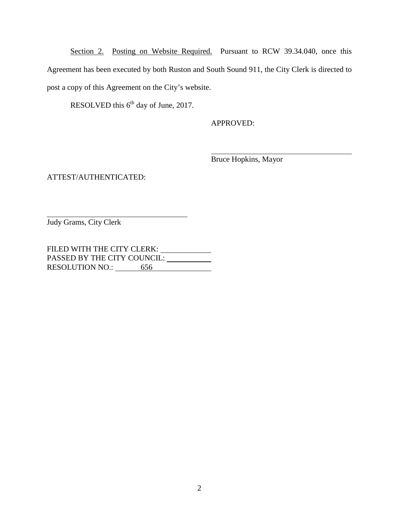Section 2. Posting on Website Required. Pursuant to RCW 39.34.040, once this Agreement has been executed by both Ruston and South Sound 911, the City Clerk is directed to post a copy of this Agreement on the City's website.

RESOLVED this  $6<sup>th</sup>$  day of June, 2017.

APPROVED:

Bruce Hopkins, Mayor

ATTEST/AUTHENTICATED:

Judy Grams, City Clerk

FILED WITH THE CITY CLERK: \_\_\_\_\_\_\_\_\_\_\_\_\_ PASSED BY THE CITY COUNCIL: U RESOLUTION NO.: 656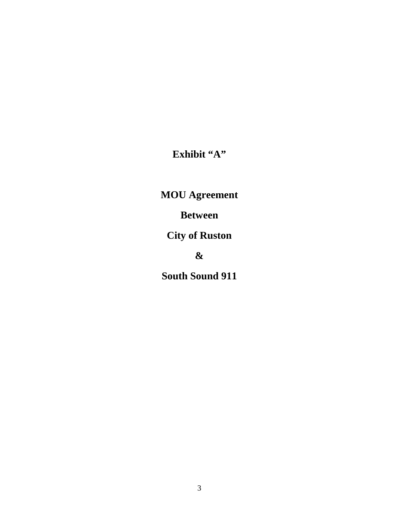**Exhibit "A"**

**MOU Agreement** 

**Between**

**City of Ruston**

**&**

**South Sound 911**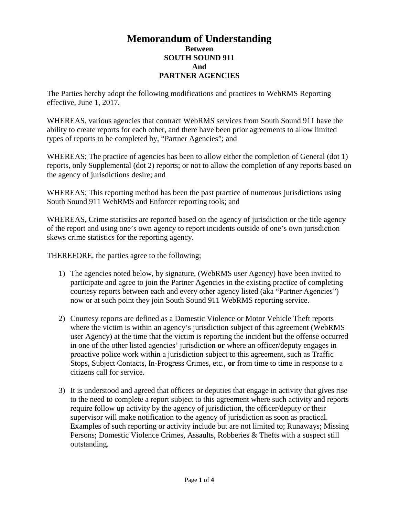#### **Memorandum of Understanding Between SOUTH SOUND 911 And PARTNER AGENCIES**

The Parties hereby adopt the following modifications and practices to WebRMS Reporting effective, June 1, 2017.

WHEREAS, various agencies that contract WebRMS services from South Sound 911 have the ability to create reports for each other, and there have been prior agreements to allow limited types of reports to be completed by, "Partner Agencies"; and

WHEREAS; The practice of agencies has been to allow either the completion of General (dot 1) reports, only Supplemental (dot 2) reports; or not to allow the completion of any reports based on the agency of jurisdictions desire; and

WHEREAS; This reporting method has been the past practice of numerous jurisdictions using South Sound 911 WebRMS and Enforcer reporting tools; and

WHEREAS, Crime statistics are reported based on the agency of jurisdiction or the title agency of the report and using one's own agency to report incidents outside of one's own jurisdiction skews crime statistics for the reporting agency.

THEREFORE, the parties agree to the following;

- 1) The agencies noted below, by signature, (WebRMS user Agency) have been invited to participate and agree to join the Partner Agencies in the existing practice of completing courtesy reports between each and every other agency listed (aka "Partner Agencies") now or at such point they join South Sound 911 WebRMS reporting service.
- 2) Courtesy reports are defined as a Domestic Violence or Motor Vehicle Theft reports where the victim is within an agency's jurisdiction subject of this agreement (WebRMS) user Agency) at the time that the victim is reporting the incident but the offense occurred in one of the other listed agencies' jurisdiction **or** where an officer/deputy engages in proactive police work within a jurisdiction subject to this agreement, such as Traffic Stops, Subject Contacts, In-Progress Crimes, etc., **or** from time to time in response to a citizens call for service.
- 3) It is understood and agreed that officers or deputies that engage in activity that gives rise to the need to complete a report subject to this agreement where such activity and reports require follow up activity by the agency of jurisdiction, the officer/deputy or their supervisor will make notification to the agency of jurisdiction as soon as practical. Examples of such reporting or activity include but are not limited to; Runaways; Missing Persons; Domestic Violence Crimes, Assaults, Robberies & Thefts with a suspect still outstanding.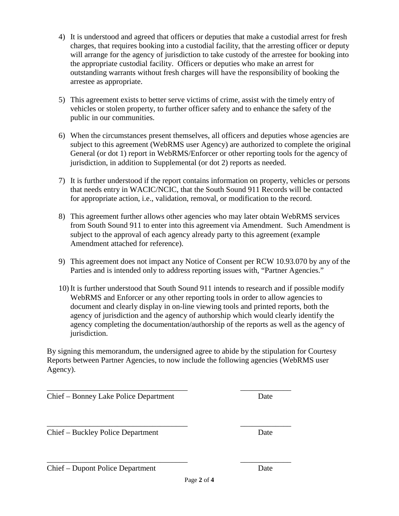- 4) It is understood and agreed that officers or deputies that make a custodial arrest for fresh charges, that requires booking into a custodial facility, that the arresting officer or deputy will arrange for the agency of jurisdiction to take custody of the arrestee for booking into the appropriate custodial facility. Officers or deputies who make an arrest for outstanding warrants without fresh charges will have the responsibility of booking the arrestee as appropriate.
- 5) This agreement exists to better serve victims of crime, assist with the timely entry of vehicles or stolen property, to further officer safety and to enhance the safety of the public in our communities.
- 6) When the circumstances present themselves, all officers and deputies whose agencies are subject to this agreement (WebRMS user Agency) are authorized to complete the original General (or dot 1) report in WebRMS/Enforcer or other reporting tools for the agency of jurisdiction, in addition to Supplemental (or dot 2) reports as needed.
- 7) It is further understood if the report contains information on property, vehicles or persons that needs entry in WACIC/NCIC, that the South Sound 911 Records will be contacted for appropriate action, i.e., validation, removal, or modification to the record.
- 8) This agreement further allows other agencies who may later obtain WebRMS services from South Sound 911 to enter into this agreement via Amendment. Such Amendment is subject to the approval of each agency already party to this agreement (example Amendment attached for reference).
- 9) This agreement does not impact any Notice of Consent per RCW 10.93.070 by any of the Parties and is intended only to address reporting issues with, "Partner Agencies."
- 10) It is further understood that South Sound 911 intends to research and if possible modify WebRMS and Enforcer or any other reporting tools in order to allow agencies to document and clearly display in on-line viewing tools and printed reports, both the agency of jurisdiction and the agency of authorship which would clearly identify the agency completing the documentation/authorship of the reports as well as the agency of jurisdiction.

By signing this memorandum, the undersigned agree to abide by the stipulation for Courtesy Reports between Partner Agencies, to now include the following agencies (WebRMS user Agency).

\_\_\_\_\_\_\_\_\_\_\_\_\_\_\_\_\_\_\_\_\_\_\_\_\_\_\_\_\_\_\_\_\_\_\_\_ \_\_\_\_\_\_\_\_\_\_\_\_\_

\_\_\_\_\_\_\_\_\_\_\_\_\_\_\_\_\_\_\_\_\_\_\_\_\_\_\_\_\_\_\_\_\_\_\_\_ \_\_\_\_\_\_\_\_\_\_\_\_\_

\_\_\_\_\_\_\_\_\_\_\_\_\_\_\_\_\_\_\_\_\_\_\_\_\_\_\_\_\_\_\_\_\_\_\_\_ \_\_\_\_\_\_\_\_\_\_\_\_\_ Chief – Bonney Lake Police Department Date

Chief – Buckley Police Department Date

Chief – Dupont Police Department Date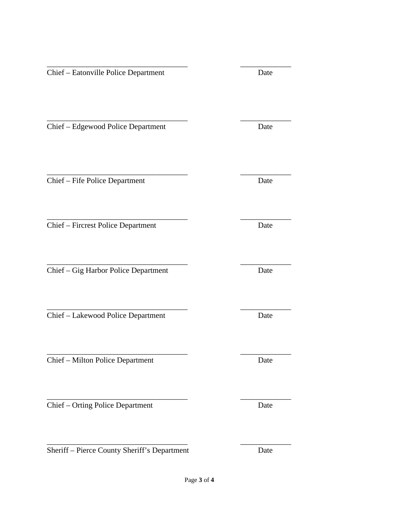\_\_\_\_\_\_\_\_\_\_\_\_\_\_\_\_\_\_\_\_\_\_\_\_\_\_\_\_\_\_\_\_\_\_\_\_ \_\_\_\_\_\_\_\_\_\_\_\_\_ Chief – Eatonville Police Department Date \_\_\_\_\_\_\_\_\_\_\_\_\_\_\_\_\_\_\_\_\_\_\_\_\_\_\_\_\_\_\_\_\_\_\_\_ \_\_\_\_\_\_\_\_\_\_\_\_\_ Chief – Edgewood Police Department Date \_\_\_\_\_\_\_\_\_\_\_\_\_\_\_\_\_\_\_\_\_\_\_\_\_\_\_\_\_\_\_\_\_\_\_\_ \_\_\_\_\_\_\_\_\_\_\_\_\_ Chief – Fife Police Department Date \_\_\_\_\_\_\_\_\_\_\_\_\_\_\_\_\_\_\_\_\_\_\_\_\_\_\_\_\_\_\_\_\_\_\_\_ \_\_\_\_\_\_\_\_\_\_\_\_\_ Chief – Fircrest Police Department Date \_\_\_\_\_\_\_\_\_\_\_\_\_\_\_\_\_\_\_\_\_\_\_\_\_\_\_\_\_\_\_\_\_\_\_\_ \_\_\_\_\_\_\_\_\_\_\_\_\_ Chief – Gig Harbor Police Department Date \_\_\_\_\_\_\_\_\_\_\_\_\_\_\_\_\_\_\_\_\_\_\_\_\_\_\_\_\_\_\_\_\_\_\_\_ \_\_\_\_\_\_\_\_\_\_\_\_\_ Chief – Lakewood Police Department Date \_\_\_\_\_\_\_\_\_\_\_\_\_\_\_\_\_\_\_\_\_\_\_\_\_\_\_\_\_\_\_\_\_\_\_\_ \_\_\_\_\_\_\_\_\_\_\_\_\_ Chief – Milton Police Department Date \_\_\_\_\_\_\_\_\_\_\_\_\_\_\_\_\_\_\_\_\_\_\_\_\_\_\_\_\_\_\_\_\_\_\_\_ \_\_\_\_\_\_\_\_\_\_\_\_\_ Chief – Orting Police Department Date

Sheriff – Pierce County Sheriff's Department Date

\_\_\_\_\_\_\_\_\_\_\_\_\_\_\_\_\_\_\_\_\_\_\_\_\_\_\_\_\_\_\_\_\_\_\_\_ \_\_\_\_\_\_\_\_\_\_\_\_\_